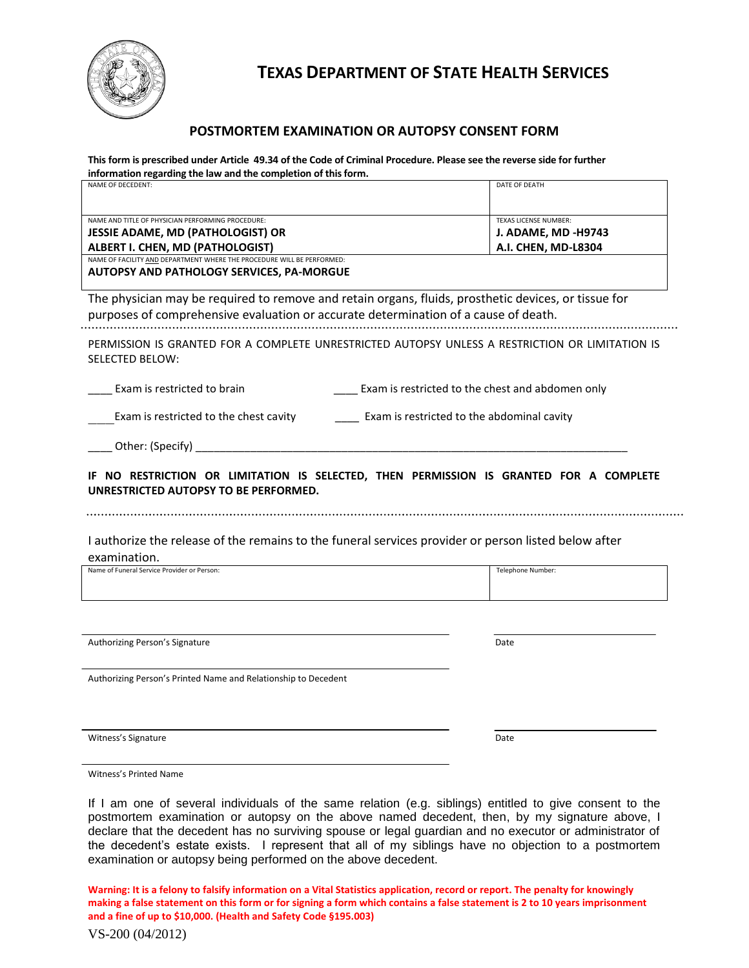

# **TEXAS DEPARTMENT OF STATE HEALTH SERVICES**

# **POSTMORTEM EXAMINATION OR AUTOPSY CONSENT FORM**

**This form is prescribed under Article 49.34 of the Code of Criminal Procedure. Please see the reverse side for further information regarding the law and the completion of this form.**

| NAME OF DECEDENT:                                                                                                                                                                                                  | DATE OF DEATH                                                                     |
|--------------------------------------------------------------------------------------------------------------------------------------------------------------------------------------------------------------------|-----------------------------------------------------------------------------------|
| NAME AND TITLE OF PHYSICIAN PERFORMING PROCEDURE:<br><b>JESSIE ADAME, MD (PATHOLOGIST) OR</b><br><b>ALBERT I. CHEN, MD (PATHOLOGIST)</b><br>NAME OF FACILITY AND DEPARTMENT WHERE THE PROCEDURE WILL BE PERFORMED: | <b>TEXAS LICENSE NUMBER:</b><br><b>J. ADAME, MD -H9743</b><br>A.I. CHEN, MD-L8304 |
| <b>AUTOPSY AND PATHOLOGY SERVICES, PA-MORGUE</b>                                                                                                                                                                   |                                                                                   |
| The physician may be required to remove and retain organs, fluids, prosthetic devices, or tissue for<br>purposes of comprehensive evaluation or accurate determination of a cause of death.                        |                                                                                   |
| PERMISSION IS GRANTED FOR A COMPLETE UNRESTRICTED AUTOPSY UNLESS A RESTRICTION OR LIMITATION IS<br><b>SELECTED BELOW:</b>                                                                                          |                                                                                   |
| Exam is restricted to brain                                                                                                                                                                                        | Exam is restricted to the chest and abdomen only                                  |
| Exam is restricted to the chest cavity                                                                                                                                                                             | Exam is restricted to the abdominal cavity                                        |
| Other: (Specify) _________                                                                                                                                                                                         |                                                                                   |
| IF NO RESTRICTION OR LIMITATION IS SELECTED, THEN PERMISSION IS GRANTED FOR A COMPLETE<br>UNRESTRICTED AUTOPSY TO BE PERFORMED.                                                                                    |                                                                                   |
| I authorize the release of the remains to the funeral services provider or person listed below after<br>examination.                                                                                               |                                                                                   |
| Name of Funeral Service Provider or Person:                                                                                                                                                                        | Telephone Number:                                                                 |
|                                                                                                                                                                                                                    |                                                                                   |
| Authorizing Person's Signature                                                                                                                                                                                     | Date                                                                              |
| Authorizing Person's Printed Name and Relationship to Decedent                                                                                                                                                     |                                                                                   |
|                                                                                                                                                                                                                    |                                                                                   |
| Witness's Signature                                                                                                                                                                                                | Date                                                                              |
|                                                                                                                                                                                                                    |                                                                                   |

Witness's Printed Name

If I am one of several individuals of the same relation (e.g. siblings) entitled to give consent to the postmortem examination or autopsy on the above named decedent, then, by my signature above, I declare that the decedent has no surviving spouse or legal guardian and no executor or administrator of the decedent's estate exists. I represent that all of my siblings have no objection to a postmortem examination or autopsy being performed on the above decedent.

**Warning: It is a felony to falsify information on a Vital Statistics application, record or report. The penalty for knowingly making a false statement on this form or for signing a form which contains a false statement is 2 to 10 years imprisonment and a fine of up to \$10,000. (Health and Safety Code §195.003)**

VS-200 (04/2012)